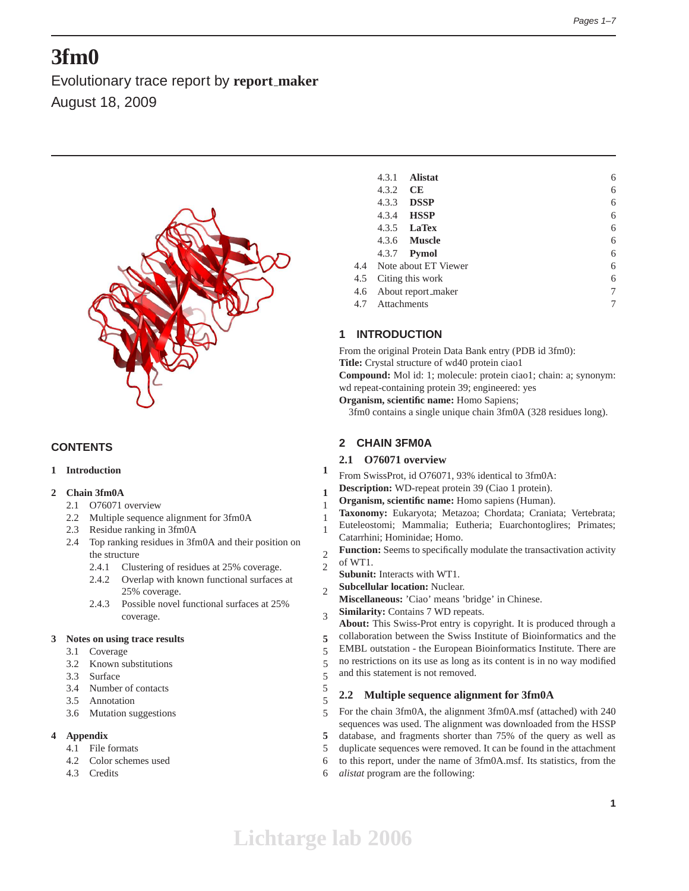# **3fm0**

Evolutionary trace report by **report maker** August 18, 2009



# **CONTENTS**

# **1 Introduction 1**

# **2 Chain 3fm0A 1**

- 2.1 O76071 overview 1
- 2.2 Multiple sequence alignment for 3fm0A 1
- 2.3 Residue ranking in 3fm0A 1
- 2.4 Top ranking residues in 3fm0A and their position on the structure 2
	- 2.4.1 Clustering of residues at 25% coverage. 2
	- 2.4.2 Overlap with known functional surfaces at 25% coverage. 2
	- 2.4.3 Possible novel functional surfaces at 25% coverage. 3

#### **3 Notes on using trace results 5**

- 3.1 Coverage 5
- 3.2 Known substitutions 5
- 3.3 Surface 5
- 3.4 Number of contacts 5
- 3.5 Annotation 5
- 3.6 Mutation suggestions 5

# **4 Appendix 5**

- 4.1 File formats 5
- 4.2 Color schemes used 6
- 4.3 Credits 6

|     | 4.3.1                   | <b>Alistat</b>           |  | 6 |  |  |
|-----|-------------------------|--------------------------|--|---|--|--|
|     | 4.3.2                   | <b>CE</b>                |  | 6 |  |  |
|     | 4.3.3                   | <b>DSSP</b>              |  | 6 |  |  |
|     | 4.3.4                   | <b>HSSP</b>              |  | 6 |  |  |
|     |                         | 4.3.5 <b>LaTex</b>       |  | 6 |  |  |
|     |                         | 4.3.6 <b>Muscle</b>      |  | 6 |  |  |
|     |                         | 4.3.7 <b>Pymol</b>       |  | 6 |  |  |
|     |                         | 4.4 Note about ET Viewer |  | 6 |  |  |
| 4.5 |                         | Citing this work         |  | 6 |  |  |
| 4.6 | 7<br>About report_maker |                          |  |   |  |  |
| 4.7 | Attachments             |                          |  | 7 |  |  |
|     |                         |                          |  |   |  |  |

# **1 INTRODUCTION**

From the original Protein Data Bank entry (PDB id 3fm0): **Title:** Crystal structure of wd40 protein ciao1 **Compound:** Mol id: 1; molecule: protein ciao1; chain: a; synonym: wd repeat-containing protein 39; engineered: yes **Organism, scientific name:** Homo Sapiens;

3fm0 contains a single unique chain 3fm0A (328 residues long).

# **2 CHAIN 3FM0A**

# **2.1 O76071 overview**

- From SwissProt, id O76071, 93% identical to 3fm0A:
- **Description:** WD-repeat protein 39 (Ciao 1 protein).
- **Organism, scientific name:** Homo sapiens (Human).
- **Taxonomy:** Eukaryota; Metazoa; Chordata; Craniata; Vertebrata;
- Euteleostomi; Mammalia; Eutheria; Euarchontoglires; Primates; Catarrhini; Hominidae; Homo.
- **Function:** Seems to specifically modulate the transactivation activity of WT1.
- **Subunit:** Interacts with WT1.
- **Subcellular location:** Nuclear.
- **Miscellaneous:** 'Ciao' means 'bridge' in Chinese.
- **Similarity:** Contains 7 WD repeats.

**About:** This Swiss-Prot entry is copyright. It is produced through a

collaboration between the Swiss Institute of Bioinformatics and the EMBL outstation - the European Bioinformatics Institute. There are no restrictions on its use as long as its content is in no way modified and this statement is not removed.

# **2.2 Multiple sequence alignment for 3fm0A**

For the chain 3fm0A, the alignment 3fm0A.msf (attached) with 240 sequences was used. The alignment was downloaded from the HSSP database, and fragments shorter than 75% of the query as well as

duplicate sequences were removed. It can be found in the attachment

to this report, under the name of 3fm0A.msf. Its statistics, from the

*alistat* program are the following: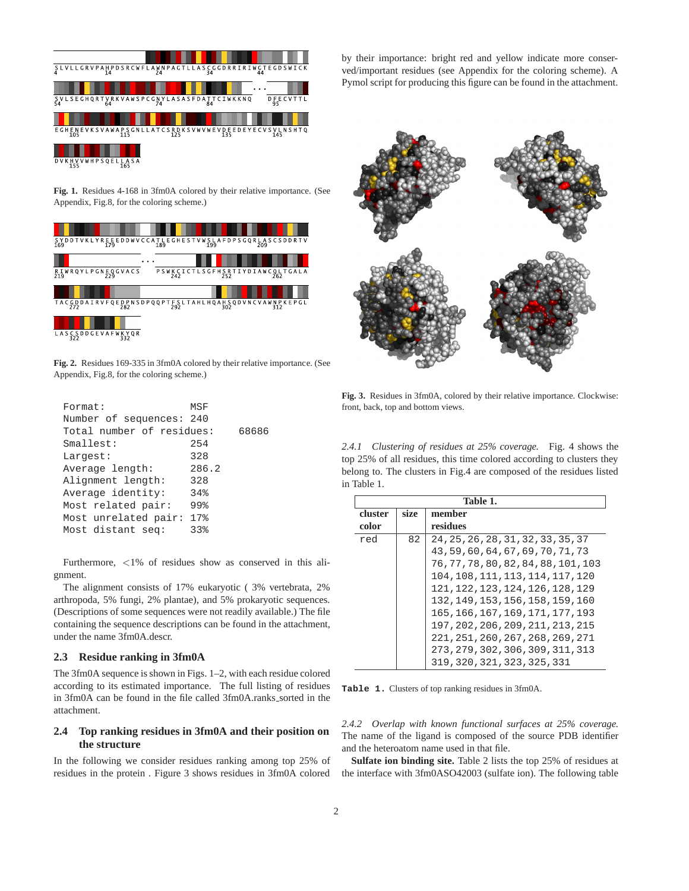

**Fig. 1.** Residues 4-168 in 3fm0A colored by their relative importance. (See Appendix, Fig.8, for the coloring scheme.)

| SYDDTVKLYREEEDDWVCCATLEGHESTVWSLAFDPSGQRLASCSDDRTV<br>169         |     |  |  | 179 |     |  |                 | 189 |  |  |  | 199 |  |  |  | 209 |  |  |                                |
|-------------------------------------------------------------------|-----|--|--|-----|-----|--|-----------------|-----|--|--|--|-----|--|--|--|-----|--|--|--------------------------------|
|                                                                   |     |  |  |     |     |  | $\cdot$ $\cdot$ |     |  |  |  |     |  |  |  |     |  |  |                                |
| RIWRQYLPGNEQGVACS                                                 |     |  |  |     |     |  |                 |     |  |  |  |     |  |  |  |     |  |  | PSWKCICTLSGFHSRTIYDIAWCQLTGALA |
|                                                                   |     |  |  |     |     |  |                 |     |  |  |  |     |  |  |  |     |  |  |                                |
| TACGDDAIRVFQEDPNSDPQQPTFSLTAHLHQAHSQDVNCVAWNPKEPGL<br>292 292 302 |     |  |  |     |     |  |                 |     |  |  |  |     |  |  |  |     |  |  |                                |
|                                                                   |     |  |  |     |     |  |                 |     |  |  |  |     |  |  |  |     |  |  |                                |
| LASCSDDGEVAFWKYQR                                                 | 322 |  |  |     | 332 |  |                 |     |  |  |  |     |  |  |  |     |  |  |                                |

**Fig. 2.** Residues 169-335 in 3fm0A colored by their relative importance. (See Appendix, Fig.8, for the coloring scheme.)

| Format:                   | MSF   |       |
|---------------------------|-------|-------|
| Number of sequences: 240  |       |       |
| Total number of residues: |       | 68686 |
| Smallest:                 | 254   |       |
| Largest:                  | 328   |       |
| Average length:           | 286.2 |       |
| Alignment length:         | 328   |       |
| Average identity:         | 34%   |       |
| Most related pair:        | 99%   |       |
| Most unrelated pair:      | 17%   |       |
| Most distant seq:         | 33%   |       |
|                           |       |       |

Furthermore, <1% of residues show as conserved in this alignment.

The alignment consists of 17% eukaryotic ( 3% vertebrata, 2% arthropoda, 5% fungi, 2% plantae), and 5% prokaryotic sequences. (Descriptions of some sequences were not readily available.) The file containing the sequence descriptions can be found in the attachment, under the name 3fm0A.descr.

#### **2.3 Residue ranking in 3fm0A**

The 3fm0A sequence is shown in Figs. 1–2, with each residue colored according to its estimated importance. The full listing of residues in 3fm0A can be found in the file called 3fm0A.ranks\_sorted in the attachment.

# **2.4 Top ranking residues in 3fm0A and their position on the structure**

In the following we consider residues ranking among top 25% of residues in the protein . Figure 3 shows residues in 3fm0A colored by their importance: bright red and yellow indicate more conserved/important residues (see Appendix for the coloring scheme). A Pymol script for producing this figure can be found in the attachment.



**Fig. 3.** Residues in 3fm0A, colored by their relative importance. Clockwise: front, back, top and bottom views.

*2.4.1 Clustering of residues at 25% coverage.* Fig. 4 shows the top 25% of all residues, this time colored according to clusters they belong to. The clusters in Fig.4 are composed of the residues listed in Table 1.

|         | Table 1. |                                      |  |  |  |  |  |  |
|---------|----------|--------------------------------------|--|--|--|--|--|--|
| cluster | size     | member                               |  |  |  |  |  |  |
| color   |          | residues                             |  |  |  |  |  |  |
| red     | 82       | 24, 25, 26, 28, 31, 32, 33, 35, 37   |  |  |  |  |  |  |
|         |          | 43, 59, 60, 64, 67, 69, 70, 71, 73   |  |  |  |  |  |  |
|         |          | 76, 77, 78, 80, 82, 84, 88, 101, 103 |  |  |  |  |  |  |
|         |          | 104, 108, 111, 113, 114, 117, 120    |  |  |  |  |  |  |
|         |          | 121, 122, 123, 124, 126, 128, 129    |  |  |  |  |  |  |
|         |          | 132, 149, 153, 156, 158, 159, 160    |  |  |  |  |  |  |
|         |          | 165, 166, 167, 169, 171, 177, 193    |  |  |  |  |  |  |
|         |          | 197, 202, 206, 209, 211, 213, 215    |  |  |  |  |  |  |
|         |          | 221, 251, 260, 267, 268, 269, 271    |  |  |  |  |  |  |
|         |          | 273, 279, 302, 306, 309, 311, 313    |  |  |  |  |  |  |
|         |          | 319, 320, 321, 323, 325, 331         |  |  |  |  |  |  |

**Table 1.** Clusters of top ranking residues in 3fm0A.

*2.4.2 Overlap with known functional surfaces at 25% coverage.* The name of the ligand is composed of the source PDB identifier and the heteroatom name used in that file.

**Sulfate ion binding site.** Table 2 lists the top 25% of residues at the interface with 3fm0ASO42003 (sulfate ion). The following table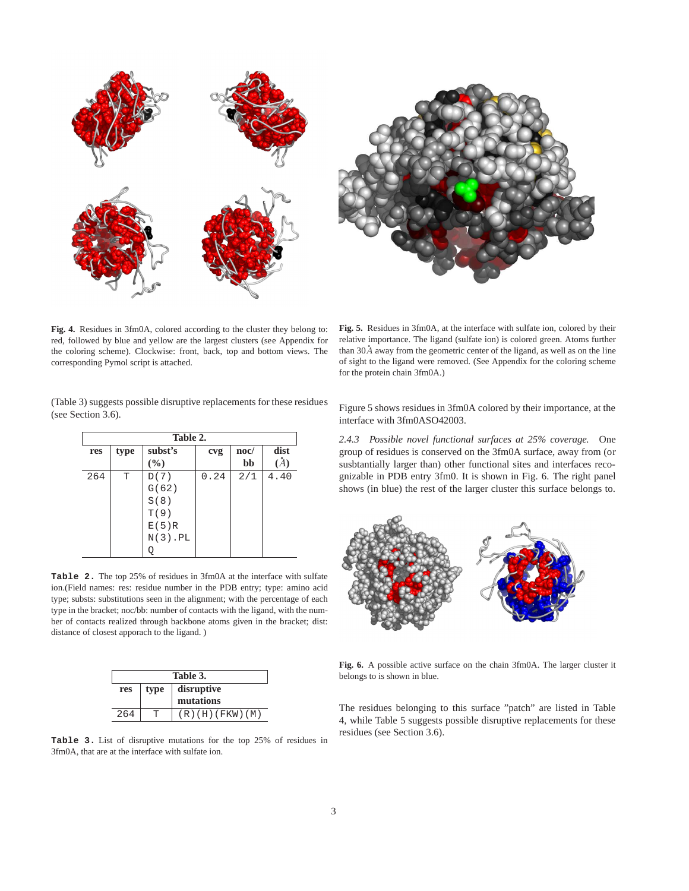

**Fig. 4.** Residues in 3fm0A, colored according to the cluster they belong to: red, followed by blue and yellow are the largest clusters (see Appendix for the coloring scheme). Clockwise: front, back, top and bottom views. The corresponding Pymol script is attached.

**Fig. 5.** Residues in 3fm0A, at the interface with sulfate ion, colored by their relative importance. The ligand (sulfate ion) is colored green. Atoms further than  $30\AA$  away from the geometric center of the ligand, as well as on the line of sight to the ligand were removed. (See Appendix for the coloring scheme for the protein chain 3fm0A.)

(Table 3) suggests possible disruptive replacements for these residues (see Section 3.6).

| Table 2. |      |             |      |                 |           |  |  |
|----------|------|-------------|------|-----------------|-----------|--|--|
| res      | type | subst's     | cvg  | $\mathbf{noc}/$ | dist      |  |  |
|          |      | (%)         |      | bb              | $\dot{A}$ |  |  |
| 264      | T    | D(7)        | 0.24 | 2/1             | 4.40      |  |  |
|          |      | G(62)       |      |                 |           |  |  |
|          |      | S(8)        |      |                 |           |  |  |
|          |      | T(9)        |      |                 |           |  |  |
|          |      | E(5)R       |      |                 |           |  |  |
|          |      | $N(3)$ . PL |      |                 |           |  |  |
|          |      |             |      |                 |           |  |  |

**Table 2.** The top 25% of residues in 3fm0A at the interface with sulfate ion.(Field names: res: residue number in the PDB entry; type: amino acid type; substs: substitutions seen in the alignment; with the percentage of each type in the bracket; noc/bb: number of contacts with the ligand, with the number of contacts realized through backbone atoms given in the bracket; dist: distance of closest apporach to the ligand. )

|     | Table 3. |                     |  |  |  |  |  |
|-----|----------|---------------------|--|--|--|--|--|
| res | type     | disruptive          |  |  |  |  |  |
|     |          | mutations           |  |  |  |  |  |
| 264 |          | $(R)$ (H) (FKW) (M) |  |  |  |  |  |

**Table 3.** List of disruptive mutations for the top 25% of residues in 3fm0A, that are at the interface with sulfate ion.

Figure 5 shows residues in 3fm0A colored by their importance, at the interface with 3fm0ASO42003.

*2.4.3 Possible novel functional surfaces at 25% coverage.* One group of residues is conserved on the 3fm0A surface, away from (or susbtantially larger than) other functional sites and interfaces recognizable in PDB entry 3fm0. It is shown in Fig. 6. The right panel shows (in blue) the rest of the larger cluster this surface belongs to.



**Fig. 6.** A possible active surface on the chain 3fm0A. The larger cluster it belongs to is shown in blue.

The residues belonging to this surface "patch" are listed in Table 4, while Table 5 suggests possible disruptive replacements for these residues (see Section 3.6).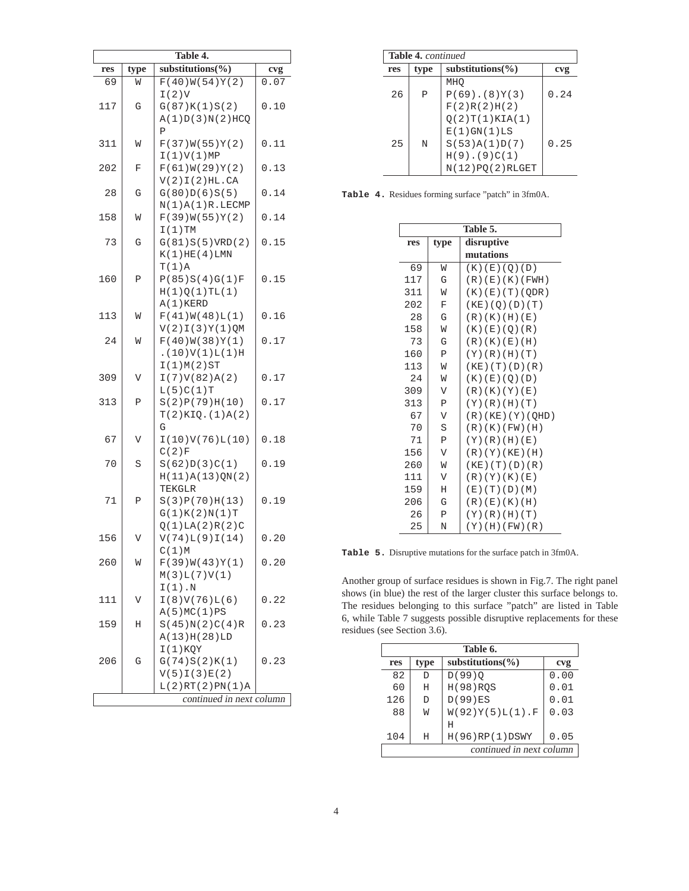| Table 4. |                          |                              |      |  |  |  |
|----------|--------------------------|------------------------------|------|--|--|--|
| res      | type                     | substitutions (%)            | cvg  |  |  |  |
| 69       | W                        | F(40)W(54)Y(2)               | 0.07 |  |  |  |
|          |                          | I(2)V                        |      |  |  |  |
| 117      | G                        | G(87)K(1)S(2)                | 0.10 |  |  |  |
|          |                          | A(1)D(3)N(2)HCO              |      |  |  |  |
|          |                          | Ρ                            |      |  |  |  |
| 311      | M                        | F(37)W(55)Y(2)               | 0.11 |  |  |  |
|          |                          | I(1)V(1)MP                   |      |  |  |  |
| 202      | F                        | F(61)W(29)Y(2)               | 0.13 |  |  |  |
|          |                          | V(2)I(2)HL.CA                |      |  |  |  |
| 28       | G                        | G(80)D(6)S(5)                | 0.14 |  |  |  |
|          |                          | N(1)A(1)R.LECMP              | 0.14 |  |  |  |
| 158      | M                        | F(39)W(55)Y(2)<br>$I(1)$ TM  |      |  |  |  |
| 73       | G                        | G(81)S(5)VRD(2)              | 0.15 |  |  |  |
|          |                          | K(1)HE(4)LMN                 |      |  |  |  |
|          |                          | $T(1)$ A                     |      |  |  |  |
| 160      | Ρ                        | P(85)S(4)G(1)F               | 0.15 |  |  |  |
|          |                          | H(1)Q(1)TL(1)                |      |  |  |  |
|          |                          | $A(1)$ KERD                  |      |  |  |  |
| 113      | M                        | F(41)W(48)L(1)               | 0.16 |  |  |  |
|          |                          | $V(2)I(3)Y(1)$ QM            |      |  |  |  |
| 24       | M                        | F(40)W(38)Y(1)               | 0.17 |  |  |  |
|          |                          | . (10) V(1) L(1) H           |      |  |  |  |
|          |                          | I(1)M(2)ST                   |      |  |  |  |
| 309      | V                        | I(7)V(82)A(2)                | 0.17 |  |  |  |
|          |                          | L(5)C(1)T                    |      |  |  |  |
| 313      | P                        | S(2)P(79)H(10)               | 0.17 |  |  |  |
|          |                          | T(2)KIQ. (1)A(2)             |      |  |  |  |
| 67       | V                        | G<br>I(10)V(76)L(10)         | 0.18 |  |  |  |
|          |                          | C(2)F                        |      |  |  |  |
| 70       | S                        | S(62)D(3)C(1)                | 0.19 |  |  |  |
|          |                          | H(11)A(13)QN(2)              |      |  |  |  |
|          |                          | TEKGLR                       |      |  |  |  |
| 71       | P                        | S(3)P(70)H(13)               | 0.19 |  |  |  |
|          |                          | G(1)K(2)N(1)T                |      |  |  |  |
|          |                          | Q(1)LA(2)R(2)C               |      |  |  |  |
| 156      | V                        | V(74)L(9)I(14)               | 0.20 |  |  |  |
|          |                          | C(1)M                        |      |  |  |  |
| 260      | M                        | F(39)W(43)Y(1)               | 0.20 |  |  |  |
|          |                          | M(3)L(7)V(1)                 |      |  |  |  |
|          |                          | $I(1)$ . N                   |      |  |  |  |
| 111      | V                        | I(8)V(76)L(6)<br>A(5)MC(1)PS | 0.22 |  |  |  |
| 159      | Η                        | S(45)N(2)C(4)R               | 0.23 |  |  |  |
|          |                          | A(13)H(28)LD                 |      |  |  |  |
|          |                          | $I(1)$ KQY                   |      |  |  |  |
| 206      | G                        | G(74)S(2)K(1)                | 0.23 |  |  |  |
|          |                          | V(5)I(3)E(2)                 |      |  |  |  |
|          |                          | L(2)RT(2)PN(1)A              |      |  |  |  |
|          | continued in next column |                              |      |  |  |  |

|     | <b>Table 4.</b> continued |                      |      |  |  |  |  |
|-----|---------------------------|----------------------|------|--|--|--|--|
| res | type                      | substitutions $\%$ ) | cvg  |  |  |  |  |
|     |                           | MHO                  |      |  |  |  |  |
| 26  | P                         | $P(69)$ . $(8)Y(3)$  | 0.24 |  |  |  |  |
|     |                           | F(2)R(2)H(2)         |      |  |  |  |  |
|     |                           | Q(2)T(1)KIA(1)       |      |  |  |  |  |
|     |                           | $E(1)$ GN $(1)$ LS   |      |  |  |  |  |
| 25  | N                         | S(53)A(1)D(7)        | 0.25 |  |  |  |  |
|     |                           | $H(9)$ . (9) $C(1)$  |      |  |  |  |  |
|     |                           | $N(12)$ PQ(2) RLGET  |      |  |  |  |  |

**Table 4.** Residues forming surface "patch" in 3fm0A.

|     | Table 5.       |                          |  |  |  |  |  |  |
|-----|----------------|--------------------------|--|--|--|--|--|--|
| res | type           | disruptive               |  |  |  |  |  |  |
|     |                | mutations                |  |  |  |  |  |  |
| 69  | W              | (K) (E) (Q) (D)          |  |  |  |  |  |  |
| 117 | G              | (R)(E)(K)(FWH)           |  |  |  |  |  |  |
| 311 | W              | (K)(E)(T)(QDR)           |  |  |  |  |  |  |
| 202 | F              | (KE) (Q) (D) (T)         |  |  |  |  |  |  |
| 28  | G              | (R)(K)(H)(E)             |  |  |  |  |  |  |
| 158 | W              | (K)(E)(O)(R)             |  |  |  |  |  |  |
| 73  | G              | (R)(K)(E)(H)             |  |  |  |  |  |  |
| 160 | $\mathbf P$    | (Y)(R)(H)(T)             |  |  |  |  |  |  |
| 113 | M              | $(KE)$ $(T)$ $(D)$ $(R)$ |  |  |  |  |  |  |
| 24  | W              | (K) (E) (O) (D)          |  |  |  |  |  |  |
| 309 | V              | (R)(K)(Y)(E)             |  |  |  |  |  |  |
| 313 | $\mathbf P$    | (Y)(R)(H)(T)             |  |  |  |  |  |  |
| 67  | V              | (R)(KE)(Y)(QHD)          |  |  |  |  |  |  |
| 70  | S              | (R)(K)(FW)(H)            |  |  |  |  |  |  |
| 71  | Ρ              | (Y)(R)(H)(E)             |  |  |  |  |  |  |
| 156 | $\overline{V}$ | (R)(Y)(KE)(H)            |  |  |  |  |  |  |
| 260 | M              | (KE)(T)(D)(R)            |  |  |  |  |  |  |
| 111 | V              | (R)(Y)(K)(E)             |  |  |  |  |  |  |
| 159 | Η              | (E)(T)(D)(M)             |  |  |  |  |  |  |
| 206 | G              | (R)(E)(K)(H)             |  |  |  |  |  |  |
| 26  | $\mathbf P$    | (Y)(R)(H)(T)             |  |  |  |  |  |  |
| 25  | N              | (Y) (H) (FW) (R)         |  |  |  |  |  |  |

**Table 5.** Disruptive mutations for the surface patch in 3fm0A.

Another group of surface residues is shown in Fig.7. The right panel shows (in blue) the rest of the larger cluster this surface belongs to. The residues belonging to this surface "patch" are listed in Table 6, while Table 7 suggests possible disruptive replacements for these residues (see Section 3.6).

|     |      | Table 6.                 |      |
|-----|------|--------------------------|------|
| res | type | substitutions $(\% )$    | cvg  |
| 82  | D    | $D(99)$ <sup>O</sup>     | 0.00 |
| 60  | Η    | <b>H(98) ROS</b>         | 0.01 |
| 126 | D    | D(99)ES                  | 0.01 |
| 88  | W    | $W(92)Y(5)L(1)$ .F       | 0.03 |
|     |      | Η                        |      |
| 104 | H    | H(96)RP(1)DSWY           | 0.05 |
|     |      | continued in next column |      |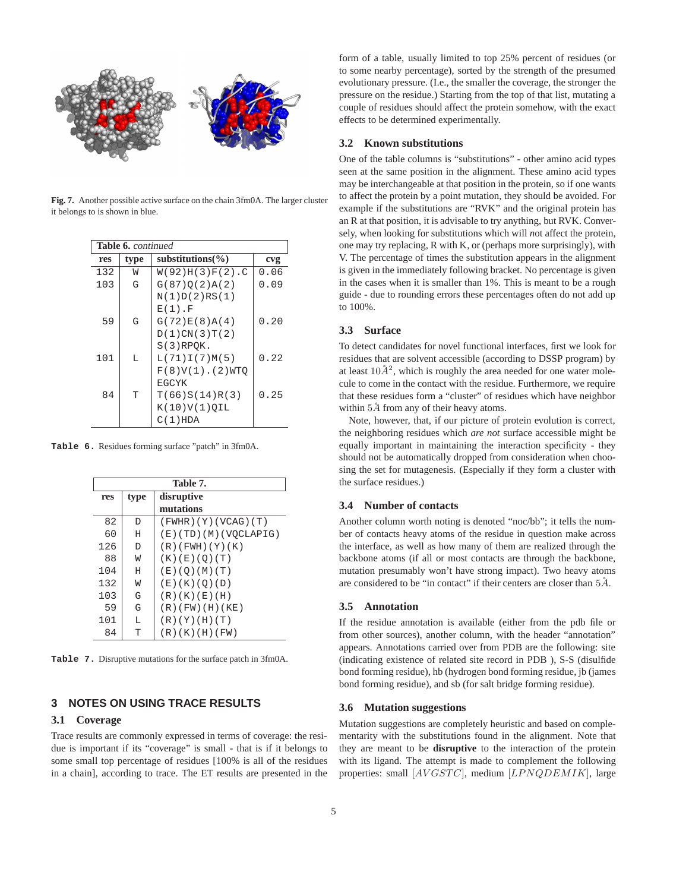

**Fig. 7.** Another possible active surface on the chain 3fm0A. The larger cluster it belongs to is shown in blue.

|     | Table 6. continued |                      |      |  |  |  |  |  |
|-----|--------------------|----------------------|------|--|--|--|--|--|
| res | type               | substitutions $\%$ ) | cvg  |  |  |  |  |  |
| 132 | W                  | $W(92)H(3)F(2)$ .C   | 0.06 |  |  |  |  |  |
| 103 | G                  | G(87)O(2)A(2)        | 0.09 |  |  |  |  |  |
|     |                    | N(1)D(2)RS(1)        |      |  |  |  |  |  |
|     |                    | $E(1)$ . F           |      |  |  |  |  |  |
| 59  | G                  | G(72)E(8)A(4)        | 0.20 |  |  |  |  |  |
|     |                    | D(1)CN(3)T(2)        |      |  |  |  |  |  |
|     |                    | $S(3)$ RPQK.         |      |  |  |  |  |  |
| 101 | T.                 | L(71)I(7)M(5)        | 0.22 |  |  |  |  |  |
|     |                    | $F(8)V(1)$ . (2) WTO |      |  |  |  |  |  |
|     |                    | <b>EGCYK</b>         |      |  |  |  |  |  |
| 84  | T                  | T(66)S(14)R(3)       | 0.25 |  |  |  |  |  |
|     |                    | $K(10)V(1)$ OIL      |      |  |  |  |  |  |
|     |                    | $C(1)$ HDA           |      |  |  |  |  |  |

**Table 6.** Residues forming surface "patch" in 3fm0A.

| Table 7. |      |                       |  |  |  |  |  |
|----------|------|-----------------------|--|--|--|--|--|
| res      | type | disruptive            |  |  |  |  |  |
|          |      | mutations             |  |  |  |  |  |
| 82       | D    | (FWHR) (Y) (VCAG) (T) |  |  |  |  |  |
| 60       | Η    | (E)(TD)(M)(VOCLAPIG)  |  |  |  |  |  |
| 126      | D    | (R)(FWH)(Y)(K)        |  |  |  |  |  |
| 88       | W    | (K) (E) (O) (T)       |  |  |  |  |  |
| 104      | Η    | (E)(O)(M)(T)          |  |  |  |  |  |
| 132      | W    | (E)(K)(O)(D)          |  |  |  |  |  |
| 103      | G    | (R)(K)(E)(H)          |  |  |  |  |  |
| 59       | G    | (R)(FW)(H)(KE)        |  |  |  |  |  |
| 101      | т.   | (R)(Y)(H)(T)          |  |  |  |  |  |
| 84       | T    | (R)(K)(H)(FW)         |  |  |  |  |  |

**Table 7.** Disruptive mutations for the surface patch in 3fm0A.

# **3 NOTES ON USING TRACE RESULTS**

#### **3.1 Coverage**

Trace results are commonly expressed in terms of coverage: the residue is important if its "coverage" is small - that is if it belongs to some small top percentage of residues [100% is all of the residues in a chain], according to trace. The ET results are presented in the form of a table, usually limited to top 25% percent of residues (or to some nearby percentage), sorted by the strength of the presumed evolutionary pressure. (I.e., the smaller the coverage, the stronger the pressure on the residue.) Starting from the top of that list, mutating a couple of residues should affect the protein somehow, with the exact effects to be determined experimentally.

#### **3.2 Known substitutions**

One of the table columns is "substitutions" - other amino acid types seen at the same position in the alignment. These amino acid types may be interchangeable at that position in the protein, so if one wants to affect the protein by a point mutation, they should be avoided. For example if the substitutions are "RVK" and the original protein has an R at that position, it is advisable to try anything, but RVK. Conversely, when looking for substitutions which will *n*ot affect the protein, one may try replacing, R with K, or (perhaps more surprisingly), with V. The percentage of times the substitution appears in the alignment is given in the immediately following bracket. No percentage is given in the cases when it is smaller than 1%. This is meant to be a rough guide - due to rounding errors these percentages often do not add up to 100%.

#### **3.3 Surface**

To detect candidates for novel functional interfaces, first we look for residues that are solvent accessible (according to DSSP program) by at least  $10\AA^2$ , which is roughly the area needed for one water molecule to come in the contact with the residue. Furthermore, we require that these residues form a "cluster" of residues which have neighbor within  $5\AA$  from any of their heavy atoms.

Note, however, that, if our picture of protein evolution is correct, the neighboring residues which *are not* surface accessible might be equally important in maintaining the interaction specificity - they should not be automatically dropped from consideration when choosing the set for mutagenesis. (Especially if they form a cluster with the surface residues.)

#### **3.4 Number of contacts**

Another column worth noting is denoted "noc/bb"; it tells the number of contacts heavy atoms of the residue in question make across the interface, as well as how many of them are realized through the backbone atoms (if all or most contacts are through the backbone, mutation presumably won't have strong impact). Two heavy atoms are considered to be "in contact" if their centers are closer than  $5\AA$ .

# **3.5 Annotation**

If the residue annotation is available (either from the pdb file or from other sources), another column, with the header "annotation" appears. Annotations carried over from PDB are the following: site (indicating existence of related site record in PDB ), S-S (disulfide bond forming residue), hb (hydrogen bond forming residue, jb (james bond forming residue), and sb (for salt bridge forming residue).

#### **3.6 Mutation suggestions**

Mutation suggestions are completely heuristic and based on complementarity with the substitutions found in the alignment. Note that they are meant to be **disruptive** to the interaction of the protein with its ligand. The attempt is made to complement the following properties: small [AVGSTC], medium [LPNQDEMIK], large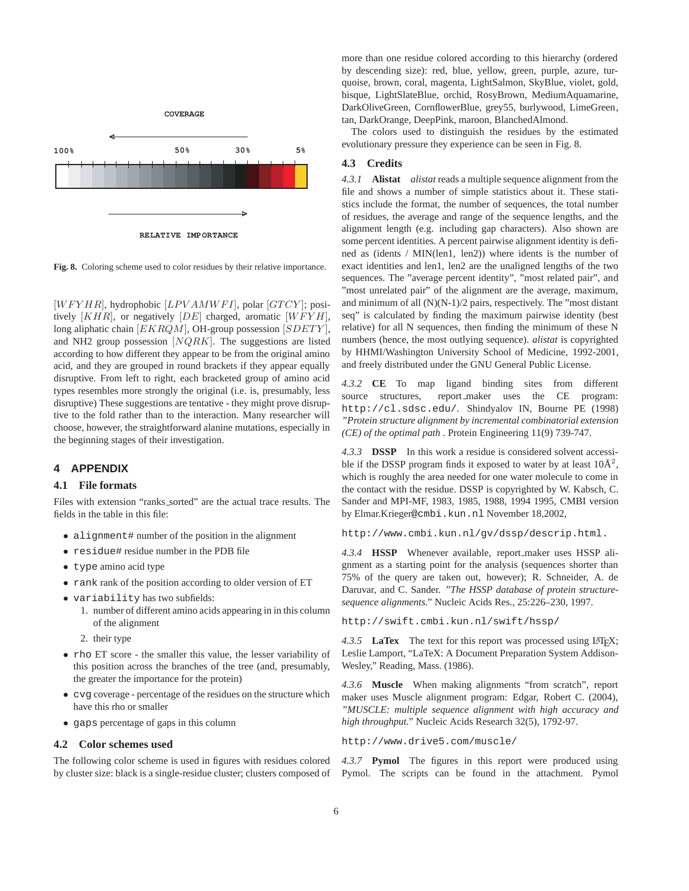

**Fig. 8.** Coloring scheme used to color residues by their relative importance.

 $[WFYHR]$ , hydrophobic  $[LPVAMWFI]$ , polar  $[GTCY]$ ; positively  $[KHR]$ , or negatively  $[DE]$  charged, aromatic  $[WFYH]$ , long aliphatic chain  $[EKRQM]$ , OH-group possession  $[SDETY]$ , and NH2 group possession  $[NQRK]$ . The suggestions are listed according to how different they appear to be from the original amino acid, and they are grouped in round brackets if they appear equally disruptive. From left to right, each bracketed group of amino acid types resembles more strongly the original (i.e. is, presumably, less disruptive) These suggestions are tentative - they might prove disruptive to the fold rather than to the interaction. Many researcher will choose, however, the straightforward alanine mutations, especially in the beginning stages of their investigation.

### **4 APPENDIX**

#### **4.1 File formats**

Files with extension "ranks\_sorted" are the actual trace results. The fields in the table in this file:

- alignment# number of the position in the alignment
- residue# residue number in the PDB file
- type amino acid type
- rank rank of the position according to older version of ET
- variability has two subfields:
	- 1. number of different amino acids appearing in in this column of the alignment
	- 2. their type
- rho ET score the smaller this value, the lesser variability of this position across the branches of the tree (and, presumably, the greater the importance for the protein)
- cvg coverage percentage of the residues on the structure which have this rho or smaller
- gaps percentage of gaps in this column

#### **4.2 Color schemes used**

The following color scheme is used in figures with residues colored by cluster size: black is a single-residue cluster; clusters composed of more than one residue colored according to this hierarchy (ordered by descending size): red, blue, yellow, green, purple, azure, turquoise, brown, coral, magenta, LightSalmon, SkyBlue, violet, gold, bisque, LightSlateBlue, orchid, RosyBrown, MediumAquamarine, DarkOliveGreen, CornflowerBlue, grey55, burlywood, LimeGreen, tan, DarkOrange, DeepPink, maroon, BlanchedAlmond.

The colors used to distinguish the residues by the estimated evolutionary pressure they experience can be seen in Fig. 8.

# **4.3 Credits**

*4.3.1* **Alistat** *alistat* reads a multiple sequence alignment from the file and shows a number of simple statistics about it. These statistics include the format, the number of sequences, the total number of residues, the average and range of the sequence lengths, and the alignment length (e.g. including gap characters). Also shown are some percent identities. A percent pairwise alignment identity is defined as (idents / MIN(len1, len2)) where idents is the number of exact identities and len1, len2 are the unaligned lengths of the two sequences. The "average percent identity", "most related pair", and "most unrelated pair" of the alignment are the average, maximum, and minimum of all  $(N)(N-1)/2$  pairs, respectively. The "most distant" seq" is calculated by finding the maximum pairwise identity (best relative) for all N sequences, then finding the minimum of these N numbers (hence, the most outlying sequence). *alistat* is copyrighted by HHMI/Washington University School of Medicine, 1992-2001, and freely distributed under the GNU General Public License.

*4.3.2* **CE** To map ligand binding sites from different source structures, report\_maker uses the CE program: http://cl.sdsc.edu/. Shindyalov IN, Bourne PE (1998) *"Protein structure alignment by incremental combinatorial extension (CE) of the optimal path* . Protein Engineering 11(9) 739-747.

*4.3.3* **DSSP** In this work a residue is considered solvent accessible if the DSSP program finds it exposed to water by at least  $10\text{\AA}^2$ , which is roughly the area needed for one water molecule to come in the contact with the residue. DSSP is copyrighted by W. Kabsch, C. Sander and MPI-MF, 1983, 1985, 1988, 1994 1995, CMBI version by Elmar.Krieger@cmbi.kun.nl November 18,2002,

http://www.cmbi.kun.nl/gv/dssp/descrip.html.

*4.3.4* **HSSP** Whenever available, report maker uses HSSP alignment as a starting point for the analysis (sequences shorter than 75% of the query are taken out, however); R. Schneider, A. de Daruvar, and C. Sander. *"The HSSP database of protein structuresequence alignments."* Nucleic Acids Res., 25:226–230, 1997.

http://swift.cmbi.kun.nl/swift/hssp/

4.3.5 **LaTex** The text for this report was processed using LAT<sub>EX</sub>; Leslie Lamport, "LaTeX: A Document Preparation System Addison-Wesley," Reading, Mass. (1986).

*4.3.6* **Muscle** When making alignments "from scratch", report maker uses Muscle alignment program: Edgar, Robert C. (2004), *"MUSCLE: multiple sequence alignment with high accuracy and high throughput."* Nucleic Acids Research 32(5), 1792-97.

http://www.drive5.com/muscle/

*4.3.7* **Pymol** The figures in this report were produced using Pymol. The scripts can be found in the attachment. Pymol